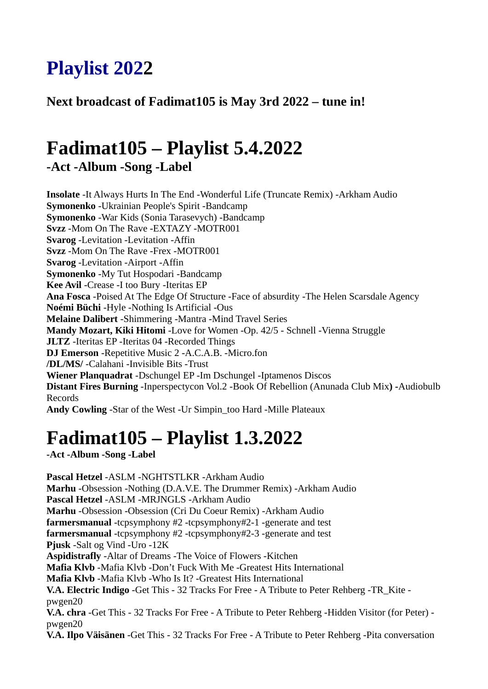### **[Playlist 2022](http://dorninger.servus.at/news/radio/)**

**Next broadcast of Fadimat105 is May 3rd 2022 – tune in!**

# **Fadimat105 – Playlist 5.4.2022**

**-Act -Album -Song -Label**

**Insolate** -It Always Hurts In The End -Wonderful Life (Truncate Remix) -Arkham Audio **Symonenko** -Ukrainian People's Spirit -Bandcamp **Symonenko** -War Kids (Sonia Tarasevych) -Bandcamp **Svzz** -Mom On The Rave -EXTAZY -MOTR001 **Svarog** -Levitation -Levitation -Affin **Svzz** -Mom On The Rave -Frex -MOTR001 **Svarog** -Levitation -Airport -Affin **Symonenko** -My Tut Hospodari -Bandcamp **Kee Avil** -Crease -I too Bury -Iteritas EP **Ana Fosca** -Poised At The Edge Of Structure -Face of absurdity -The Helen Scarsdale Agency **Noémi Büchi** -Hyle -Nothing Is Artificial -Ous **Melaine Dalibert** -Shimmering -Mantra -Mind Travel Series **Mandy Mozart, Kiki Hitomi** -Love for Women -Op. 42/5 - Schnell -Vienna Struggle **JLTZ** -Iteritas EP -Iteritas 04 -Recorded Things **DJ Emerson** -Repetitive Music 2 -A.C.A.B. -Micro.fon **/DL/MS/** -Calahani -Invisible Bits -Trust **Wiener Planquadrat** -Dschungel EP -Im Dschungel -Iptamenos Discos **Distant Fires Burning** -Inperspectycon Vol.2 -Book Of Rebellion (Anunada Club Mix**) -**Audiobulb Records **Andy Cowling** -Star of the West -Ur Simpin\_too Hard -Mille Plateaux

### **Fadimat105 – Playlist 1.3.2022**

**-Act -Album -Song -Label**

**Pascal Hetzel** -ASLM -NGHTSTLKR -Arkham Audio **Marhu** -Obsession -Nothing (D.A.V.E. The Drummer Remix) -Arkham Audio **Pascal Hetzel** -ASLM -MRJNGLS -Arkham Audio **Marhu** -Obsession -Obsession (Cri Du Coeur Remix) -Arkham Audio **farmersmanual** -tcpsymphony #2 -tcpsymphony#2-1 -generate and test **farmersmanual** -tcpsymphony #2 -tcpsymphony#2-3 -generate and test **Pjusk** -Salt og Vind -Uro -12K **Aspidistrafly** -Altar of Dreams -The Voice of Flowers -Kitchen **Mafia Klvb** -Mafia Klvb -Don't Fuck With Me -Greatest Hits International **Mafia Klvb** -Mafia Klvb -Who Is It? -Greatest Hits International **V.A. Electric Indigo** -Get This - 32 Tracks For Free - A Tribute to Peter Rehberg -TR\_Kite pwgen20 **V.A. chra** -Get This - 32 Tracks For Free - A Tribute to Peter Rehberg -Hidden Visitor (for Peter) pwgen20 **V.A. Ilpo Väisänen** -Get This - 32 Tracks For Free - A Tribute to Peter Rehberg -Pita conversation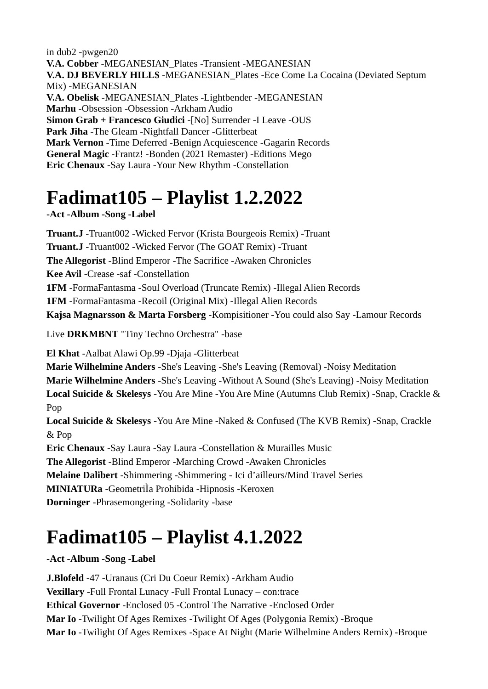in dub2 -pwgen20 **V.A. Cobber** -MEGANESIAN\_Plates -Transient -MEGANESIAN **V.A. DJ BEVERLY HILL\$** -MEGANESIAN\_Plates -Ece Come La Cocaina (Deviated Septum Mix) -MEGANESIAN **V.A. Obelisk** -MEGANESIAN\_Plates -Lightbender -MEGANESIAN **Marhu** -Obsession -Obsession -Arkham Audio **Simon Grab + Francesco Giudici** -[No] Surrender -I Leave -OUS **Park Jiha** -The Gleam -Nightfall Dancer -Glitterbeat **Mark Vernon** -Time Deferred -Benign Acquiescence -Gagarin Records **General Magic** -Frantz! -Bonden (2021 Remaster) -Editions Mego **Eric Chenaux** -Say Laura -Your New Rhythm -Constellation

# **Fadimat105 – Playlist 1.2.2022**

#### **-Act -Album -Song -Label**

**Truant.J** -Truant002 -Wicked Fervor (Krista Bourgeois Remix) -Truant **Truant.J** -Truant002 -Wicked Fervor (The GOAT Remix) -Truant **The Allegorist** -Blind Emperor -The Sacrifice -Awaken Chronicles **Kee Avil** -Crease -saf -Constellation **1FM** -FormaFantasma -Soul Overload (Truncate Remix) -Illegal Alien Records **1FM** -FormaFantasma -Recoil (Original Mix) -Illegal Alien Records **Kajsa Magnarsson & Marta Forsberg** -Kompisitioner -You could also Say -Lamour Records

Live **DRKMBNT** "Tiny Techno Orchestra" -base

**El Khat** -Aalbat Alawi Op.99 -Djaja -Glitterbeat

**Marie Wilhelmine Anders** -She's Leaving -She's Leaving (Removal) -Noisy Meditation **Marie Wilhelmine Anders** -She's Leaving -Without A Sound (She's Leaving) -Noisy Meditation **Local Suicide & Skelesys** -You Are Mine -You Are Mine (Autumns Club Remix) -Snap, Crackle & Pop

**Local Suicide & Skelesys** -You Are Mine -Naked & Confused (The KVB Remix) -Snap, Crackle & Pop

**Eric Chenaux** -Say Laura -Say Laura -Constellation & Murailles Music

**The Allegorist** -Blind Emperor -Marching Crowd -Awaken Chronicles

**Melaine Dalibert** -Shimmering -Shimmering - Ici d'ailleurs/Mind Travel Series

**MINIATURa** -GeometriÌa Prohibida -Hipnosis -Keroxen

**Dorninger** -Phrasemongering -Solidarity -base

# **Fadimat105 – Playlist 4.1.2022**

#### **-Act -Album -Song -Label**

**J.Blofeld** -47 -Uranaus (Cri Du Coeur Remix) -Arkham Audio **Vexillary** -Full Frontal Lunacy -Full Frontal Lunacy – con:trace **Ethical Governor** -Enclosed 05 -Control The Narrative -Enclosed Order **Mar Io** -Twilight Of Ages Remixes -Twilight Of Ages (Polygonia Remix) -Broque **Mar Io** -Twilight Of Ages Remixes -Space At Night (Marie Wilhelmine Anders Remix) -Broque